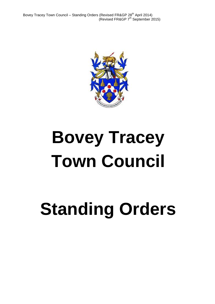Bovey Tracey Town Council – Standing Orders (Revised FR&GP 28<sup>th</sup> April 2014) (Revised FR&GP  $7<sup>th</sup>$  September 2015)



# **Bovey Tracey Town Council**

# **Standing Orders**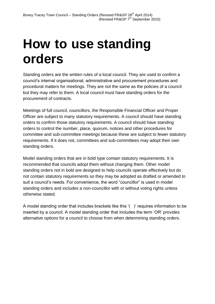## **How to use standing orders**

Standing orders are the written rules of a local council. They are used to confirm a council's internal organisational, administrative and procurement procedures and procedural matters for meetings. They are not the same as the policies of a council but they may refer to them. A local council must have standing orders for the procurement of contracts.

Meetings of full council, councillors, the Responsible Financial Officer and Proper Officer are subject to many statutory requirements. A council should have standing orders to confirm those statutory requirements. A council should have standing orders to control the number, place, quorum, notices and other procedures for committee and sub-committee meetings because these are subject to fewer statutory requirements. If it does not, committees and sub-committees may adopt their own standing orders.

Model standing orders that are in bold type contain statutory requirements. It is recommended that councils adopt them without changing them. Other model standing orders not in bold are designed to help councils operate effectively but do not contain statutory requirements so they may be adopted as drafted or amended to suit a council's needs. For convenience, the word "councillor" is used in model standing orders and includes a non-councillor with or without voting rights unless otherwise stated.

A model standing order that includes brackets like this '( )' requires information to be inserted by a council. A model standing order that includes the term 'OR' provides alternative options for a council to choose from when determining standing orders.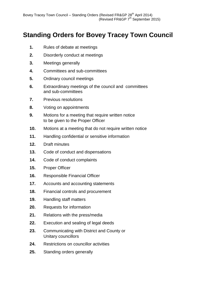#### **Standing Orders for Bovey Tracey Town Council**

- **1.** Rules of debate at meetings
- **2.** Disorderly conduct at meetings
- **3.** Meetings generally
- **4.** Committees and sub-committees
- **5.** Ordinary council meetings
- **6.** Extraordinary meetings of the council and committees and sub-committees
- **7.** Previous resolutions
- **8.** Voting on appointments
- **9.** Motions for a meeting that require written notice to be given to the Proper Officer
- **10.** Motions at a meeting that do not require written notice
- **11.** Handling confidential or sensitive information
- **12.** Draft minutes
- **13.** Code of conduct and dispensations
- **14.** Code of conduct complaints
- **15.** Proper Officer
- **16.** Responsible Financial Officer
- **17.** Accounts and accounting statements
- **18.** Financial controls and procurement
- **19.** Handling staff matters
- **20.** Requests for information
- **21.** Relations with the press/media
- **22.** Execution and sealing of legal deeds
- **23.** Communicating with District and County or Unitary councillors
- **24.** Restrictions on councillor activities
- **25.** Standing orders generally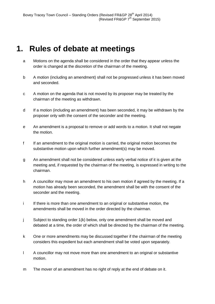#### **1. Rules of debate at meetings**

- a Motions on the agenda shall be considered in the order that they appear unless the order is changed at the discretion of the chairman of the meeting.
- b A motion (including an amendment) shall not be progressed unless it has been moved and seconded.
- c A motion on the agenda that is not moved by its proposer may be treated by the chairman of the meeting as withdrawn.
- d If a motion (including an amendment) has been seconded, it may be withdrawn by the proposer only with the consent of the seconder and the meeting.
- e An amendment is a proposal to remove or add words to a motion. It shall not negate the motion.
- f If an amendment to the original motion is carried, the original motion becomes the substantive motion upon which further amendment(s) may be moved.
- g An amendment shall not be considered unless early verbal notice of it is given at the meeting and, if requested by the chairman of the meeting, is expressed in writing to the chairman.
- h A councillor may move an amendment to his own motion if agreed by the meeting. If a motion has already been seconded, the amendment shall be with the consent of the seconder and the meeting.
- i If there is more than one amendment to an original or substantive motion, the amendments shall be moved in the order directed by the chairman.
- j Subject to standing order 1(k) below, only one amendment shall be moved and debated at a time, the order of which shall be directed by the chairman of the meeting.
- k One or more amendments may be discussed together if the chairman of the meeting considers this expedient but each amendment shall be voted upon separately.
- l A councillor may not move more than one amendment to an original or substantive motion.
- m The mover of an amendment has no right of reply at the end of debate on it.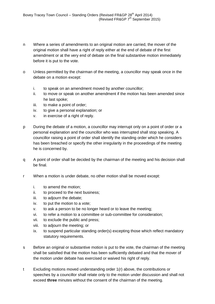- n Where a series of amendments to an original motion are carried, the mover of the original motion shall have a right of reply either at the end of debate of the first amendment or at the very end of debate on the final substantive motion immediately before it is put to the vote.
- o Unless permitted by the chairman of the meeting, a councillor may speak once in the debate on a motion except:
	- i. to speak on an amendment moved by another councillor;
	- ii. to move or speak on another amendment if the motion has been amended since he last spoke;
	- iii. to make a point of order;
	- iv. to give a personal explanation; or
	- v. in exercise of a right of reply.
- p During the debate of a motion, a councillor may interrupt only on a point of order or a personal explanation and the councillor who was interrupted shall stop speaking. A councillor raising a point of order shall identify the standing order which he considers has been breached or specify the other irregularity in the proceedings of the meeting he is concerned by.
- q A point of order shall be decided by the chairman of the meeting and his decision shall be final.
- r When a motion is under debate, no other motion shall be moved except:
	- i. to amend the motion;
	- ii. to proceed to the next business;
	- iii. to adjourn the debate;
	- iv. to put the motion to a vote;
	- v. to ask a person to be no longer heard or to leave the meeting;
	- vi. to refer a motion to a committee or sub-committee for consideration;
	- vii. to exclude the public and press;
	- viii. to adjourn the meeting; or
	- ix. to suspend particular standing order(s) excepting those which reflect mandatory statutory requirements.
- s Before an original or substantive motion is put to the vote, the chairman of the meeting shall be satisfied that the motion has been sufficiently debated and that the mover of the motion under debate has exercised or waived his right of reply.
- t Excluding motions moved understanding order 1(r) above, the contributions or speeches by a councillor shall relate only to the motion under discussion and shall not exceed **three** minutes without the consent of the chairman of the meeting.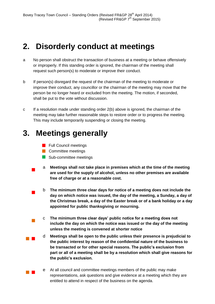## **2. Disorderly conduct at meetings**

- a No person shall obstruct the transaction of business at a meeting or behave offensively or improperly. If this standing order is ignored, the chairman of the meeting shall request such person(s) to moderate or improve their conduct.
- b If person(s) disregard the request of the chairman of the meeting to moderate or improve their conduct, any councillor or the chairman of the meeting may move that the person be no longer heard or excluded from the meeting. The motion, if seconded, shall be put to the vote without discussion.
- c If a resolution made under standing order 2(b) above is ignored, the chairman of the meeting may take further reasonable steps to restore order or to progress the meeting. This may include temporarily suspending or closing the meeting.

## **3. Meetings generally**

- **Full Council meetings**
- **Committee meetings**
- Sub-committee meetings
- <sup>a</sup> **Meetings shall not take place in premises which at the time of the meeting are used for the supply of alcohol, unless no other premises are available free of charge or at a reasonable cost.**
- <sup>b</sup> **The minimum three clear days for notice of a meeting does not include the day on which notice was issued, the day of the meeting, a Sunday, a day of the Christmas break, a day of the Easter break or of a bank holiday or a day appointed for public thanksgiving or mourning.**
	- <sup>c</sup> **The minimum three clear days' public notice for a meeting does not include the day on which the notice was issued or the day of the meeting unless the meeting is convened at shorter notice**
- <sup>d</sup> **Meetings shall be open to the public unless their presence is prejudicial to the public interest by reason of the confidential nature of the business to be transacted or for other special reasons. The public's exclusion from part or all of a meeting shall be by a resolution which shall give reasons for the public's exclusion.**
- e At all council and committee meetings members of the public may make representations, ask questions and give evidence at a meeting which they are entitled to attend in respect of the business on the agenda.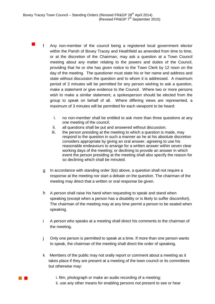- **F f** Any non-member of the council being a registered local government elector within the Parish of Bovey Tracey and Heathfield as amended from time to time, or at the discretion of the Chairman, may ask a question at a Town Council meeting about any matter relating to the powers and duties of the Council, providing that he or she has given notice to the Town Clerk by 12 noon on the day of the meeting. The questioner must state his or her name and address and state without discussion the question and to whom it is addressed. A maximum period of 3 minutes will be permitted for any person wishing to ask a question, make a statement or give evidence to the Council. Where two or more persons wish to make a similar statement, a spokesperson should be elected from the group to speak on behalf of all. Where differing views are represented, a maximum of 3 minutes will be permitted for each viewpoint to be heard:
	- i. no non-member shall be entitled to ask more than three questions at any one meeting of the council;
	- ii. all questions shall be put and answered without discussion;
	- iii. the person presiding at the meeting to which a question is made, may respond to the question in such a manner as he at his absolute discretion considers appropriate by giving an oral answer, agreeing to use his reasonable endeavours to arrange for a written answer within seven clear working days of the meeting; or declining to provide an answer in which event the person presiding at the meeting shall also specify the reason for so declining which shall be minuted.
	- g In accordance with standing order 3(e) above, a question shall not require a response at the meeting nor start a debate on the question. The chairman of the meeting may direct that a written or oral response be given.
	- h A person shall raise his hand when requesting to speak and stand when speaking (except when a person has a disability or is likely to suffer discomfort). The chairman of the meeting may at any time permit a person to be seated when speaking.
	- i A person who speaks at a meeting shall direct his comments to the chairman of the meeting.
	- j Only one person is permitted to speak at a time. If more than one person wants to speak, the chairman of the meeting shall direct the order of speaking.
	- k Members of the public may not orally report or comment about a meeting as it takes place if they are present at a meeting of the town council or its committees but otherwise may:
		- i. film, photograph or make an audio recording of a meeting; ii. use any other means for enabling persons not present to see or hear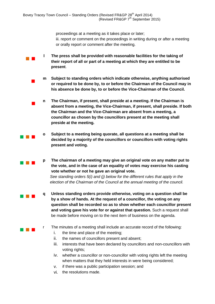$\mathbb{R}^n$ 

 $\overline{\phantom{a}}$ 

 $\blacksquare$ 

 $\sim 10^{-1}$ 

 $\sim 10^{-1}$ 

 $\sim 10^{-1}$ 

 $\sim 10^{-1}$ 

proceedings at a meeting as it takes place or later; iii. report or comment on the proceedings in writing during or after a meeting or orally report or comment after the meeting.

**l The press shall be provided with reasonable facilities for the taking of their report of all or part of a meeting at which they are entitled to be present**.

**m Subject to standing orders which indicate otherwise, anything authorised or required to be done by, to or before the Chairman of the Council may in his absence be done by, to or before the Vice-Chairman of the Council.**

**n The Chairman, if present, shall preside at a meeting. If the Chairman is absent from a meeting, the Vice-Chairman, if present, shall preside. If both the Chairman and the Vice-Chairman are absent from a meeting, a councillor as chosen by the councillors present at the meeting shall preside at the meeting.**

**o Subject to a meeting being quorate, all questions at a meeting shall be decided by a majority of the councillors or councillors with voting rights present and voting.**

**p The chairman of a meeting may give an original vote on any matter put to the vote, and in the case of an equality of votes may exercise his casting vote whether or not he gave an original vote.**

*See standing orders 5(i) and (j) below for the different rules that apply in the election of the Chairman of the Council at the annual meeting of the council.*

**q Unless standing orders provide otherwise, voting on a question shall be by a show of hands. At the request of a councillor, the voting on any question shall be recorded so as to show whether each councillor present and voting gave his vote for or against that question.** Such a request shall be made before moving on to the next item of business on the agenda.

r The minutes of a meeting shall include an accurate record of the following:

- i. the time and place of the meeting;
- ii. the names of councillors present and absent;
- iii. interests that have been declared by councillors and non-councillors with voting rights;
- iv. whether a councillor or non-councillor with voting rights left the meeting when matters that they held interests in were being considered;
- v. if there was a public participation session; and
- vi. the resolutions made.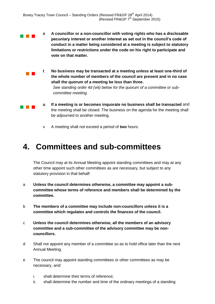- **TELES s A councillor or a non-councillor with voting rights who has a disclosable pecuniary interest or another interest as set out in the council's code of conduct in a matter being considered at a meeting is subject to statutory limitations or restrictions under the code on his right to participate and vote on that matter.**
	- $\mathcal{L}^{\text{max}}$ **t No business may be transacted at a meeting unless at least one-third of the whole number of members of the council are present and in no case shall the quorum of a meeting be less than three.**

*See standing order 4d (viii) below for the quorum of a committee or subcommittee meeting.* 

- $\sim 10^{-1}$ **u If a meeting is or becomes inquorate no business shall be transacted** and the meeting shall be closed. The business on the agenda for the meeting shall be adjourned to another meeting.
	- v A meeting shall not exceed a period of **two** hours.

#### **4. Committees and sub-committees**

The Council may at its Annual Meeting appoint standing committees and may at any other time appoint such other committees as are necessary, but subject to any statutory provision in that behalf:

- a **Unless the council determines otherwise, a committee may appoint a subcommittee whose terms of reference and members shall be determined by the committee.**
- b **The members of a committee may include non-councillors unless it is a committee which regulates and controls the finances of the council.**
- c **Unless the council determines otherwise, all the members of an advisory committee and a sub-committee of the advisory committee may be noncouncillors.**
- d Shall not appoint any member of a committee so as to hold office later than the next Annual Meeting.
- e The council may appoint standing committees or other committees as may be necessary, and:
	- i. shall determine their terms of reference;
	- ii. shall determine the number and time of the ordinary meetings of a standing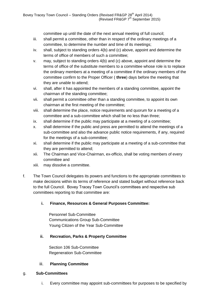committee up until the date of the next annual meeting of full council;

- iii. shall permit a committee, other than in respect of the ordinary meetings of a committee, to determine the number and time of its meetings;
- iv. shall, subject to standing orders 4(b) and (c) above, appoint and determine the terms of office of members of such a committee;
- v. may, subject to standing orders 4(b) and (c) above, appoint and determine the terms of office of the substitute members to a committee whose role is to replace the ordinary members at a meeting of a committee if the ordinary members of the committee confirm to the Proper Officer ( **three**) days before the meeting that they are unable to attend;
- vi. shall, after it has appointed the members of a standing committee, appoint the chairman of the standing committee;
- vii. shall permit a committee other than a standing committee, to appoint its own chairman at the first meeting of the committee;
- viii. shall determine the place, notice requirements and quorum for a meeting of a committee and a sub-committee which shall be no less than three;
- ix. shall determine if the public may participate at a meeting of a committee;
- x. shall determine if the public and press are permitted to attend the meetings of a sub-committee and also the advance public notice requirements, if any, required for the meetings of a sub-committee;
- xi. shall determine if the public may participate at a meeting of a sub-committee that they are permitted to attend;
- xii. The Chairman and Vice-Chairman, ex-officio, shall be voting members of every committee and
- xiii. may dissolve a committee.
- f. The Town Council delegates its powers and functions to the appropriate committees to make decisions within its terms of reference and stated budget without reference back to the full Council. Bovey Tracey Town Council's committees and respective sub committees reporting to that committee are:

#### **i. Finance, Resources & General Purposes Committee:**

Personnel Sub-Committee Communications Group Sub-Committee Young Citizen of the Year Sub-Committee

#### **ii. Recreation, Parks & Property Committee**

Section 106 Sub-Committee Regeneration Sub-Committee

#### iii. **Planning Committee**

#### g. **Sub-Committees**

i. Every committee may appoint sub-committees for purposes to be specified by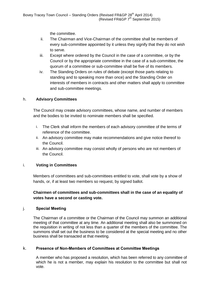the committee.

- ii. The Chairman and Vice-Chairman of the committee shall be members of every sub-committee appointed by it unless they signify that they do not wish to serve.
- iii. Except where ordered by the Council in the case of a committee, or by the Council or by the appropriate committee in the case of a sub-committee, the quorum of a committee or sub-committee shall be five of its members.
- iv. The Standing Orders on rules of debate (except those parts relating to standing and to speaking more than once) and the Standing Order on interests of members in contracts and other matters shall apply to committee and sub-committee meetings.

#### h. **Advisory Committees**

The Council may create advisory committees, whose name, and number of members and the bodies to be invited to nominate members shall be specified.

- i. The Clerk shall inform the members of each advisory committee of the terms of reference of the committee.
- ii. An advisory committee may make recommendations and give notice thereof to the Council.
- iii. An advisory committee may consist wholly of persons who are not members of the Council.

#### i. **Voting in Committees**

Members of committees and sub-committees entitled to vote, shall vote by a show of hands, or, if at least two members so request, by signed ballot.

#### **Chairmen of committees and sub-committees shall in the case of an equality of votes have a second or casting vote.**

#### j. **Special Meeting**

The Chairman of a committee or the Chairman of the Council may summon an additional meeting of that committee at any time. An additional meeting shall also be summoned on the requisition in writing of not less than a quarter of the members of the committee. The summons shall set out the business to be considered at the special meeting and no other business shall be transacted at that meeting.

#### k. **Presence of Non-Members of Committees at Committee Meetings**

A member who has proposed a resolution, which has been referred to any committee of which he is not a member, may explain his resolution to the committee but shall not vote.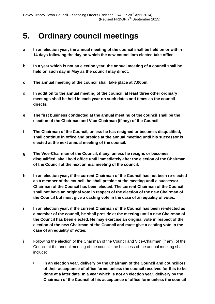## **5. Ordinary council meetings**

- **a In an election year, the annual meeting of the council shall be held on or within 14 days following the day on which the new councillors elected take office.**
- **b In a year which is not an election year, the annual meeting of a council shall be held on such day in May as the council may direct.**
- **c The annual meeting of the council shall take place at 7.00pm.**
- d **In addition to the annual meeting of the council, at least three other ordinary meetings shall be held in each year on such dates and times as the council directs.**
- **e The first business conducted at the annual meeting of the council shall be the election of the Chairman and Vice-Chairman (if any) of the Council.**
- **f The Chairman of the Council, unless he has resigned or becomes disqualified, shall continue in office and preside at the annual meeting until his successor is elected at the next annual meeting of the council.**
- **g The Vice-Chairman of the Council, if any, unless he resigns or becomes disqualified, shall hold office until immediately after the election of the Chairman of the Council at the next annual meeting of the council.**
- **h In an election year, if the current Chairman of the Council has not been re-elected as a member of the council, he shall preside at the meeting until a successor Chairman of the Council has been elected. The current Chairman of the Council shall not have an original vote in respect of the election of the new Chairman of the Council but must give a casting vote in the case of an equality of votes.**
- **i In an election year, if the current Chairman of the Council has been re-elected as a member of the council, he shall preside at the meeting until a new Chairman of the Council has been elected. He may exercise an original vote in respect of the election of the new Chairman of the Council and must give a casting vote in the case of an equality of votes.**
- j Following the election of the Chairman of the Council and Vice-Chairman (if any) of the Council at the annual meeting of the council, the business of the annual meeting shall include:
	- i. **In an election year, delivery by the Chairman of the Council and councillors of their acceptance of office forms unless the council resolves for this to be done at a later date**. **In a year which is not an election year, delivery by the Chairman of the Council of his acceptance of office form unless the council**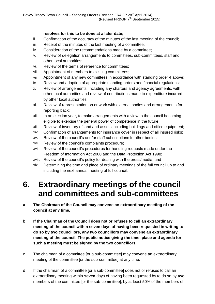#### **resolves for this to be done at a later date;**

- ii. Confirmation of the accuracy of the minutes of the last meeting of the council;
- iii. Receipt of the minutes of the last meeting of a committee;
- iv. Consideration of the recommendations made by a committee;
- v. Review of delegation arrangements to committees, sub-committees, staff and other local authorities;
- vi. Review of the terms of reference for committees;
- vii. Appointment of members to existing committees;
- viii. Appointment of any new committees in accordance with standing order 4 above;
- ix. Review and adoption of appropriate standing orders and financial regulations;
- x. Review of arrangements, including any charters and agency agreements, with other local authorities and review of contributions made to expenditure incurred by other local authorities;
- xi. Review of representation on or work with external bodies and arrangements for reporting back;
- xii. In an election year, to make arrangements with a view to the council becoming eligible to exercise the general power of competence in the future;
- xiii. Review of inventory of land and assets including buildings and office equipment;
- xiv. Confirmation of arrangements for insurance cover in respect of all insured risks;
- xv. Review of the council's and/or staff subscriptions to other bodies;
- xvi. Review of the council's complaints procedure;
- xvii. Review of the council's procedures for handling requests made under the Freedom of Information Act 2000 and the Data Protection Act 1998;
- xviii. Review of the council's policy for dealing with the press/media; and
- xix. Determining the time and place of ordinary meetings of the full council up to and including the next annual meeting of full council.

#### **6. Extraordinary meetings of the council and committees and sub-committees**

- **a The Chairman of the Council may convene an extraordinary meeting of the council at any time.**
- b **If the Chairman of the Council does not or refuses to call an extraordinary meeting of the council within seven days of having been requested in writing to do so by two councillors, any two councillors may convene an extraordinary meeting of the council. The public notice giving the time, place and agenda for such a meeting must be signed by the two councillors.**
- c The chairman of a committee [or a sub-committee] may convene an extraordinary meeting of the committee [or the sub-committee] at any time.
- d If the chairman of a committee [or a sub-committee] does not or refuses to call an extraordinary meeting within **seven** days of having been requested by to do so by **two** members of the committee [or the sub-committee], by at least 50% of the members of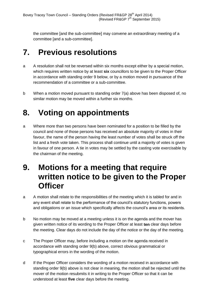the committee [and the sub-committee] may convene an extraordinary meeting of a committee [and a sub-committee].

## **7. Previous resolutions**

- a A resolution shall not be reversed within six months except either by a special motion, which requires written notice by at least **six** councillors to be given to the Proper Officer in accordance with standing order 9 below, or by a motion moved in pursuance of the recommendation of a committee or a sub-committee.
- b When a motion moved pursuant to standing order 7(a) above has been disposed of, no similar motion may be moved within a further six months.

## **8. Voting on appointments**

a Where more than two persons have been nominated for a position to be filled by the council and none of those persons has received an absolute majority of votes in their favour, the name of the person having the least number of votes shall be struck off the list and a fresh vote taken. This process shall continue until a majority of votes is given in favour of one person. A tie in votes may be settled by the casting vote exercisable by the chairman of the meeting.

#### **9. Motions for a meeting that require written notice to be given to the Proper Officer**

- a A motion shall relate to the responsibilities of the meeting which it is tabled for and in any event shall relate to the performance of the council's statutory functions, powers and obligations or an issue which specifically affects the council's area or its residents.
- b No motion may be moved at a meeting unless it is on the agenda and the mover has given written notice of its wording to the Proper Officer at least **ten** clear days before the meeting. Clear days do not include the day of the notice or the day of the meeting.
- c The Proper Officer may, before including a motion on the agenda received in accordance with standing order 9(b) above, correct obvious grammatical or typographical errors in the wording of the motion.
- d If the Proper Officer considers the wording of a motion received in accordance with standing order 9(b) above is not clear in meaning, the motion shall be rejected until the mover of the motion resubmits it in writing to the Proper Officer so that it can be understood at least **five** clear days before the meeting.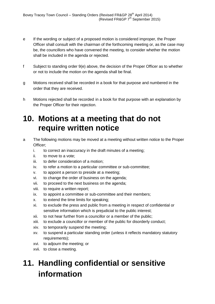- e If the wording or subject of a proposed motion is considered improper, the Proper Officer shall consult with the chairman of the forthcoming meeting or, as the case may be, the councillors who have convened the meeting, to consider whether the motion shall be included in the agenda or rejected.
- f Subject to standing order 9(e) above, the decision of the Proper Officer as to whether or not to include the motion on the agenda shall be final.
- g Motions received shall be recorded in a book for that purpose and numbered in the order that they are received.
- h Motions rejected shall be recorded in a book for that purpose with an explanation by the Proper Officer for their rejection.

#### **10. Motions at a meeting that do not require written notice**

- a The following motions may be moved at a meeting without written notice to the Proper Officer;
	- i. to correct an inaccuracy in the draft minutes of a meeting;
	- ii. to move to a vote;
	- iii. to defer consideration of a motion;
	- iv. to refer a motion to a particular committee or sub-committee;
	- v. to appoint a person to preside at a meeting;
	- vi. to change the order of business on the agenda;
	- vii. to proceed to the next business on the agenda;
	- viii. to require a written report;
	- ix. to appoint a committee or sub-committee and their members;
	- x. to extend the time limits for speaking;
	- xi. to exclude the press and public from a meeting in respect of confidential or sensitive information which is prejudicial to the public interest;
	- xii. to not hear further from a councillor or a member of the public;
	- xiii. to exclude a councillor or member of the public for disorderly conduct;
	- xiv. to temporarily suspend the meeting;
	- xv. to suspend a particular standing order (unless it reflects mandatory statutory requirements);
	- xvi. to adjourn the meeting; or
	- xvii. to close a meeting.

## **11. Handling confidential or sensitive information**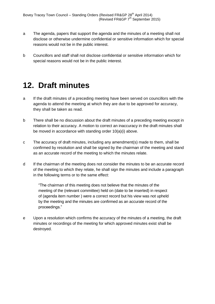- a The agenda, papers that support the agenda and the minutes of a meeting shall not disclose or otherwise undermine confidential or sensitive information which for special reasons would not be in the public interest.
- b Councillors and staff shall not disclose confidential or sensitive information which for special reasons would not be in the public interest.

#### **12. Draft minutes**

- a If the draft minutes of a preceding meeting have been served on councillors with the agenda to attend the meeting at which they are due to be approved for accuracy, they shall be taken as read.
- b There shall be no discussion about the draft minutes of a preceding meeting except in relation to their accuracy. A motion to correct an inaccuracy in the draft minutes shall be moved in accordance with standing order 10(a)(i) above.
- c The accuracy of draft minutes, including any amendment(s) made to them, shall be confirmed by resolution and shall be signed by the chairman of the meeting and stand as an accurate record of the meeting to which the minutes relate.
- d If the chairman of the meeting does not consider the minutes to be an accurate record of the meeting to which they relate, he shall sign the minutes and include a paragraph in the following terms or to the same effect:

"The chairman of this meeting does not believe that the minutes of the meeting of the (relevant committee) held on (date to be inserted) in respect of (agenda item number ) were a correct record but his view was not upheld by the meeting and the minutes are confirmed as an accurate record of the proceedings."

e Upon a resolution which confirms the accuracy of the minutes of a meeting, the draft minutes or recordings of the meeting for which approved minutes exist shall be destroyed.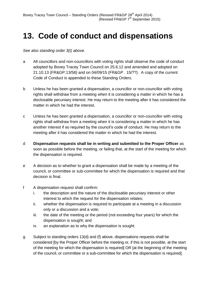## **13. Code of conduct and dispensations**

*See also standing order 3(t) above.* 

- a All councillors and non-councillors with voting rights shall observe the code of conduct adopted by Bovey Tracey Town Council on 25.6.12 and amended and adopted on 21.10.13 (FR&GP.13/58) and on 04/09/15 (FR&GP . 15/??). A copy of the current Code of Conduct is appended to these Standing Orders.
- b Unless he has been granted a dispensation, a councillor or non-councillor with voting rights shall withdraw from a meeting when it is considering a matter in which he has a disclosable pecuniary interest. He may return to the meeting after it has considered the matter in which he had the interest.
- c Unless he has been granted a dispensation, a councillor or non-councillor with voting rights shall withdraw from a meeting when it is considering a matter in which he has another interest if so required by the council's code of conduct. He may return to the meeting after it has considered the matter in which he had the interest.
- d **Dispensation requests shall be in writing and submitted to the Proper Officer** as soon as possible before the meeting, or failing that, at the start of the meeting for which the dispensation is required.
- e A decision as to whether to grant a dispensation shall be made by a meeting of the council, or committee or sub-committee for which the dispensation is required and that decision is final.
- f A dispensation request shall confirm:
	- i. the description and the nature of the disclosable pecuniary interest or other interest to which the request for the dispensation relates;
	- ii. whether the dispensation is required to participate at a meeting in a discussion only or a discussion and a vote;
	- iii. the date of the meeting or the period (not exceeding four years) for which the dispensation is sought; and
	- iv. an explanation as to why the dispensation is sought.
- g Subject to standing orders 13(d) and (f) above, dispensations requests shall be considered [by the Proper Officer before the meeting or, if this is not possible, at the start of the meeting for which the dispensation is required] OR [at the beginning of the meeting of the council, or committee or a sub-committee for which the dispensation is required].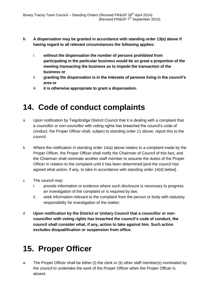- **h A dispensation may be granted in accordance with standing order 13(e) above if having regard to all relevant circumstances the following applies:**
	- i. **without the dispensation the number of persons prohibited from participating in the particular business would be so great a proportion of the meeting transacting the business as to impede the transaction of the business or**
	- ii. **granting the dispensation is in the interests of persons living in the council's area or**
	- iii. **it is otherwise appropriate to grant a dispensation.**

#### **14. Code of conduct complaints**

- a Upon notification by Teignbridge District Council that it is dealing with a complaint that a councillor or non-councillor with voting rights has breached the council's code of conduct, the Proper Officer shall, subject to standing order 11 above, report this to the council.
- b Where the notification in standing order 14(a) above relates to a complaint made by the Proper Officer, the Proper Officer shall notify the Chairman of Council of this fact, and the Chairman shall nominate another staff member to assume the duties of the Proper Officer in relation to the complaint until it has been determined [and the council has agreed what action, if any, to take in accordance with standing order 14(d) below].
- c The council may:
	- i. provide information or evidence where such disclosure is necessary to progress an investigation of the complaint or is required by law;
	- ii. seek information relevant to the complaint from the person or body with statutory responsibility for investigation of the matter;
- d **Upon notification by the District or Unitary Council that a councillor or noncouncillor with voting rights has breached the council's code of conduct, the council shall consider what, if any, action to take against him. Such action excludes disqualification or suspension from office.**

## **15. Proper Officer**

a The Proper Officer shall be either (i) the clerk or (ii) other staff member(s) nominated by the council to undertake the work of the Proper Officer when the Proper Officer is absent.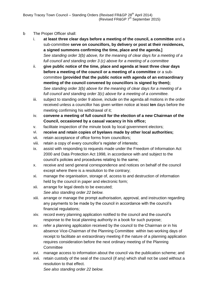- b The Proper Officer shall:
	- i. **at least three clear days before a meeting of the council, a committee** and a sub-committee **serve on councillors, by delivery or post at their residences, a signed summons confirming the time, place and the agenda.]**  *See standing order 3(b) above, for the meaning of clear days for a meeting of a full council and standing order 3 (c) above for a meeting of a committee*
	- ii. **give public notice of the time, place and agenda at least three clear days before a meeting of the council or a meeting of a committee** or a subcommittee **(provided that the public notice with agenda of an extraordinary meeting of the council convened by councillors is signed by them);** *See standing order 3(b) above for the meaning of clear days for a meeting of a full council and standing order 3(c) above for a meeting of a committee.*
	- iii. subject to standing order 9 above, include on the agenda all motions in the order received unless a councillor has given written notice at least **ten** days before the meeting confirming his withdrawal of it;
	- iv. **convene a meeting of full council for the election of a new Chairman of the Council, occasioned by a casual vacancy in his office;**
	- v. facilitate inspection of the minute book by local government electors;
	- vi. **receive and retain copies of byelaws made by other local authorities;**
	- vii. retain acceptance of office forms from councillors;
	- viii. retain a copy of every councillor's register of interests;
	- ix. assist with responding to requests made under the Freedom of Information Act 2000 and Data Protection Act 1998, in accordance with and subject to the council's policies and procedures relating to the same;
	- x. receive and send general correspondence and notices on behalf of the council except where there is a resolution to the contrary;
	- xi. manage the organisation, storage of, access to and destruction of information held by the council in paper and electronic form;
	- xii. arrange for legal deeds to be executed; *See also standing order 22 below.*
	- xiii. arrange or manage the prompt authorisation, approval, and instruction regarding any payments to be made by the council in accordance with the council's financial regulations;
	- xiv. record every planning application notified to the council and the council's response to the local planning authority in a book for such purpose;
	- xv. refer a planning application received by the council to the Chairman or in his absence Vice-Chairman of the Planning Committee within two working days of receipt to facilitate an extraordinary meeting if the nature of a planning application requires consideration before the next ordinary meeting of the Planning **Committee**
	- xvi. manage access to information about the council via the publication scheme; and
	- xvii. retain custody of the seal of the council (if any) which shall not be used without a resolution to that effect.

*See also standing order 22 below.*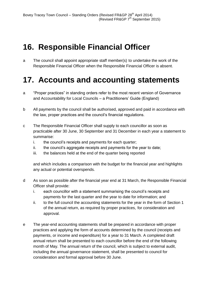## **16. Responsible Financial Officer**

a The council shall appoint appropriate staff member(s) to undertake the work of the Responsible Financial Officer when the Responsible Financial Officer is absent.

#### **17. Accounts and accounting statements**

- a "Proper practices" in standing orders refer to the most recent version of Governance and Accountability for Local Councils – a Practitioners' Guide (England)
- b All payments by the council shall be authorised, approved and paid in accordance with the law, proper practices and the council's financial regulations.
- c The Responsible Financial Officer shall supply to each councillor as soon as practicable after 30 June, 30 September and 31 December in each year a statement to summarise:
	- i. the council's receipts and payments for each quarter;
	- ii. the council's aggregate receipts and payments for the year to date;
	- iii. the balances held at the end of the quarter being reported

and which includes a comparison with the budget for the financial year and highlights any actual or potential overspends.

- d As soon as possible after the financial year end at 31 March, the Responsible Financial Officer shall provide:
	- i. each councillor with a statement summarising the council's receipts and payments for the last quarter and the year to date for information; and
	- ii. to the full council the accounting statements for the year in the form of Section 1 of the annual return, as required by proper practices, for consideration and approval.
- e The year-end accounting statements shall be prepared in accordance with proper practices and applying the form of accounts determined by the council (receipts and payments, or income and expenditure) for a year to 31 March. A completed draft annual return shall be presented to each councillor before the end of the following month of May. The annual return of the council, which is subject to external audit, including the annual governance statement, shall be presented to council for consideration and formal approval before 30 June.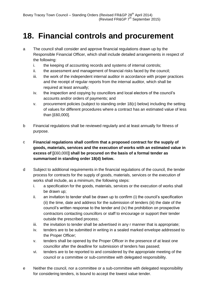## **18. Financial controls and procurement**

- a The council shall consider and approve financial regulations drawn up by the Responsible Financial Officer, which shall include detailed arrangements in respect of the following:
	- i. the keeping of accounting records and systems of internal controls;
	- ii. the assessment and management of financial risks faced by the council;
	- iii. the work of the independent internal auditor in accordance with proper practices and the receipt of regular reports from the internal auditor, which shall be required at least annually;
	- iv. the inspection and copying by councillors and local electors of the council's accounts and/or orders of payments; and
	- v. procurement policies (subject to standing order 18(c) below) including the setting of values for different procedures where a contract has an estimated value of less than [£60,000].
- b Financial regulations shall be reviewed regularly and at least annually for fitness of purpose.
- c **Financial regulations shall confirm that a proposed contract for the supply of goods, materials, services and the execution of works with an estimated value in excess of [**£60,000**] shall be procured on the basis of a formal tender as summarised in standing order 18(d) below.**
- d Subject to additional requirements in the financial regulations of the council, the tender process for contracts for the supply of goods, materials, services or the execution of works shall include, as a minimum, the following steps:
	- i. a specification for the goods, materials, services or the execution of works shall be drawn up;
	- ii. an invitation to tender shall be drawn up to confirm (i) the council's specification (ii) the time, date and address for the submission of tenders (iii) the date of the council's written response to the tender and (iv) the prohibition on prospective contractors contacting councillors or staff to encourage or support their tender outside the prescribed process;
	- iii. the invitation to tender shall be advertised in any r manner that is appropriate;
	- iv. tenders are to be submitted in writing in a sealed marked envelope addressed to the Proper Officer;
	- v. tenders shall be opened by the Proper Officer in the presence of at least one councillor after the deadline for submission of tenders has passed;
	- vi. tenders are to be reported to and considered by the appropriate meeting of the council or a committee or sub-committee with delegated responsibility.
- e Neither the council, nor a committee or a sub-committee with delegated responsibility for considering tenders, is bound to accept the lowest value tender.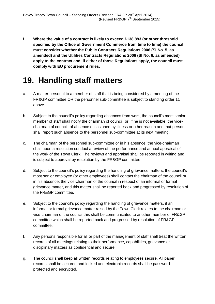f **Where the value of a contract is likely to exceed £138,893 (or other threshold specified by the Office of Government Commerce from time to time) the council must consider whether the Public Contracts Regulations 2006 (SI No. 5, as amended) and the Utilities Contracts Regulations 2006 (SI No. 6, as amended) apply to the contract and, if either of those Regulations apply, the council must comply with EU procurement rules.**

#### **19. Handling staff matters**

- a. A matter personal to a member of staff that is being considered by a meeting of the FR&GP committee OR the personnel sub-committee is subject to standing order 11 above.
- b. Subject to the council's policy regarding absences from work, the council's most senior member of staff shall notify the chairman of council or, if he is not available, the vicechairman of council of absence occasioned by illness or other reason and that person shall report such absence to the personnel sub-committee at its next meeting.
- c. The chairman of the personnel sub-committee or in his absence, the vice-chairman shall upon a resolution conduct a review of the performance and annual appraisal of the work of the Town Clerk. The reviews and appraisal shall be reported in writing and is subject to approval by resolution by the FR&GP committee.
- d. Subject to the council's policy regarding the handling of grievance matters, the council's most senior employee (or other employees) shall contact the chairman of the council or in his absence, the vice-chairman of the council in respect of an informal or formal grievance matter, and this matter shall be reported back and progressed by resolution of the FR&GP committee.
- e. Subject to the council's policy regarding the handling of grievance matters, if an informal or formal grievance matter raised by the Town Clerk relates to the chairman or vice-chairman of the council this shall be communicated to another member of FR&GP committee which shall be reported back and progressed by resolution of FR&GP committee.
- f. Any persons responsible for all or part of the management of staff shall treat the written records of all meetings relating to their performance, capabilities, grievance or disciplinary matters as confidential and secure.
- g. The council shall keep all written records relating to employees secure. All paper records shall be secured and locked and electronic records shall be password protected and encrypted.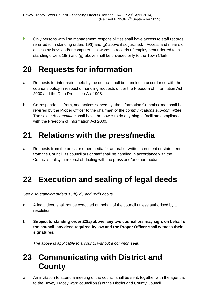h. Only persons with line management responsibilities shall have access to staff records referred to in standing orders 19(f) and (g) above if so justified. Access and means of access by keys and/or computer passwords to records of employment referred to in standing orders 19(f) and (g) above shall be provided only to the Town Clerk.

## **20 Requests for information**

- a Requests for information held by the council shall be handled in accordance with the council's policy in respect of handling requests under the Freedom of Information Act 2000 and the Data Protection Act 1998.
- b Correspondence from, and notices served by, the Information Commissioner shall be referred by the Proper Officer to the chairman of the *communications sub-committee*. The said *sub-committee* shall have the power to do anything to facilitate compliance with the Freedom of Information Act 2000.

## **21 Relations with the press/media**

a Requests from the press or other media for an oral or written comment or statement from the Council, its councillors or staff shall be handled in accordance with the Council's policy in respect of dealing with the press and/or other media.

## **22 Execution and sealing of legal deeds**

*See also standing orders 15(b)(xii) and (xvii) above.*

- a A legal deed shall not be executed on behalf of the council unless authorised by a resolution.
- b **Subject to standing order 22(a) above, any two councillors may sign, on behalf of the council, any deed required by law and the Proper Officer shall witness their signatures.**

*The above is applicable to a council without a common seal.*

## **23 Communicating with District and County**

a An invitation to attend a meeting of the council shall be sent, together with the agenda, to the Bovey Tracey ward councillor(s) of the District and County Council